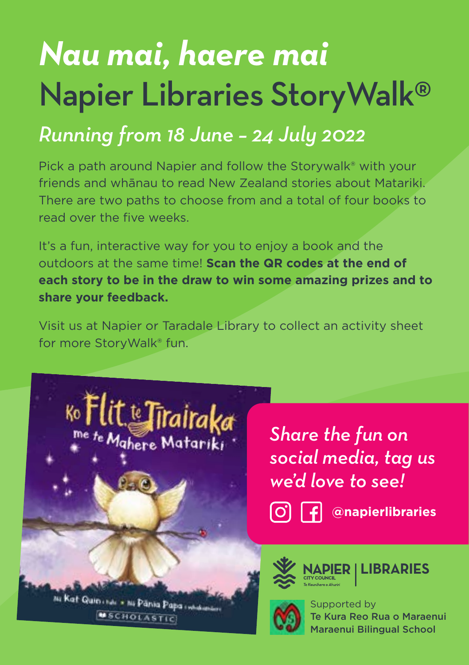# *Nau mai, haere mai* Napier Libraries StoryWalk®

## *Running from 18 June – 24 July 2022*

Pick a path around Napier and follow the Storywalk® with your friends and whānau to read New Zealand stories about Matariki. There are two paths to choose from and a total of four books to read over the five weeks.

It's a fun, interactive way for you to enjoy a book and the outdoors at the same time! **Scan the QR codes at the end of each story to be in the draw to win some amazing prizes and to share your feedback.** 

Visit us at Napier or Taradale Library to collect an activity sheet for more StoryWalk® fun.



*Share the fun on social media, tag us we'd love to see!* 

**@napierlibraries** 

ni Kat Quin inti + ni Pānia Papa inti **MSCHOLASTIC** 



**LIBRARIES**



Supported by Te Kura Reo Rua o Maraenui Maraenui Bilingual School